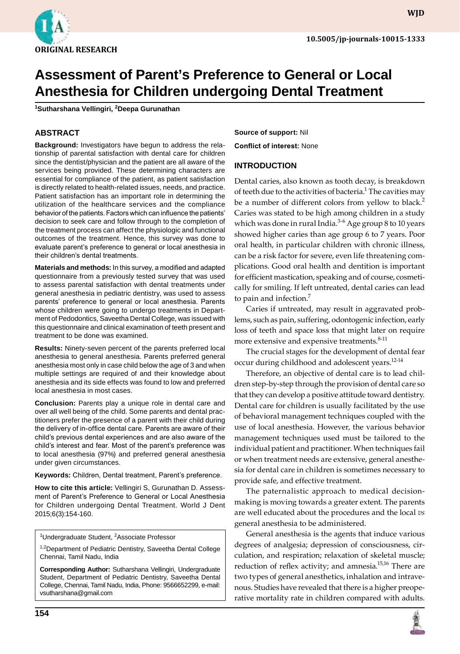

**wjd**

# **Assessment of Parent's Preference to General or Local Anesthesia for Children undergoing Dental Treatment**

**1 sutharshana vellingiri, 2 Deepa Gurunathan**

## **ABSTRACT**

**Background:** Investigators have begun to address the relationship of parental satisfaction with dental care for children since the dentist/physician and the patient are all aware of the services being provided. These determining characters are essential for compliance of the patient, as patient satisfaction is directly related to health-related issues, needs, and practice. Patient satisfaction has an important role in determining the utilization of the healthcare services and the compliance behavior of the patients. Factors which can influence the patients' decision to seek care and follow through to the completion of the treatment process can affect the physiologic and functional outcomes of the treatment. Hence, this survey was done to evaluate parent's preference to general or local anesthesia in their children's dental treatments.

**Materials and methods:** In this survey, a modified and adapted questionnaire from a previously tested survey that was used to assess parental satisfaction with dental treatments under general anesthesia in pediatric dentistry, was used to assess parents' preference to general or local anesthesia. Parents whose children were going to undergo treatments in Department of Pedodontics, Saveetha Dental College, was issued with this questionnaire and clinical examination of teeth present and treatment to be done was examined.

**Results:** Ninety-seven percent of the parents preferred local anesthesia to general anesthesia. Parents preferred general anesthesia most only in case child below the age of 3 and when multiple settings are required of and their knowledge about anesthesia and its side effects was found to low and preferred local anesthesia in most cases.

**Conclusion:** Parents play a unique role in dental care and over all well being of the child. Some parents and dental practitioners prefer the presence of a parent with their child during the delivery of in-office dental care. Parents are aware of their child's previous dental experiences and are also aware of the child's interest and fear. Most of the parent's preference was to local anesthesia (97%) and preferred general anesthesia under given circumstances.

**Keywords:** Children, Dental treatment, Parent's preference.

How to cite this article: Vellingiri S, Gurunathan D. Assessment of Parent's Preference to General or Local Anesthesia for Children undergoing Dental Treatment. World J Dent 2015;6(3):154-160.

<sup>1</sup>Undergraduate Student, <sup>2</sup>Associate Professor

<sup>1,2</sup>Department of Pediatric Dentistry, Saveetha Dental College Chennai, Tamil Nadu, India

**Corresponding Author:** sutharshana vellingiri, Undergraduate Student, Department of Pediatric Dentistry, Saveetha Dental College, Chennai, Tamil Nadu, India, Phone: 9566652299, e-mail: vsutharshana@gmail.com

**Source of support:** Nil **Conflict of interest:** None

## **Introduction**

Dental caries, also known as tooth decay, is breakdown of teeth due to the activities of bacteria. $^1$  The cavities may be a number of different colors from yellow to black.<sup>2</sup> Caries was stated to be high among children in a study which was done in rural India. $3-6$  Age group 8 to 10 years showed higher caries than age group 6 to 7 years. Poor oral health, in particular children with chronic illness, can be a risk factor for severe, even life threatening complications. Good oral health and dentition is important for efficient mastication, speaking and of course, cosmetically for smiling. If left untreated, dental caries can lead to pain and infection. $\frac{7}{2}$ 

Caries if untreated, may result in aggravated problems, such as pain, suffering, odontogenic infection, early loss of teeth and space loss that might later on require more extensive and expensive treatments.<sup>8-11</sup>

The crucial stages for the development of dental fear occur during childhood and adolescent years.<sup>12-14</sup>

Therefore, an objective of dental care is to lead children step-by-step through the provision of dental care so that they can develop a positive attitude toward dentistry. Dental care for children is usually facilitated by the use of behavioral management techniques coupled with the use of local anesthesia. However, the various behavior management techniques used must be tailored to the individual patient and practitioner. When techniques fail or when treatment needs are extensive, general anesthesia for dental care in children is sometimes necessary to provide safe, and effective treatment.

The paternalistic approach to medical decisionmaking is moving towards a greater extent. The parents are well educated about the procedures and the local *vs* general anesthesia to be administered.

General anesthesia is the agents that induce various degrees of analgesia; depression of consciousness, circulation, and respiration; relaxation of skeletal muscle; reduction of reflex activity; and amnesia.<sup>15,16</sup> There are two types of general anesthetics, inhalation and intravenous. Studies have revealed that there is a higher preoperative mortality rate in children compared with adults.

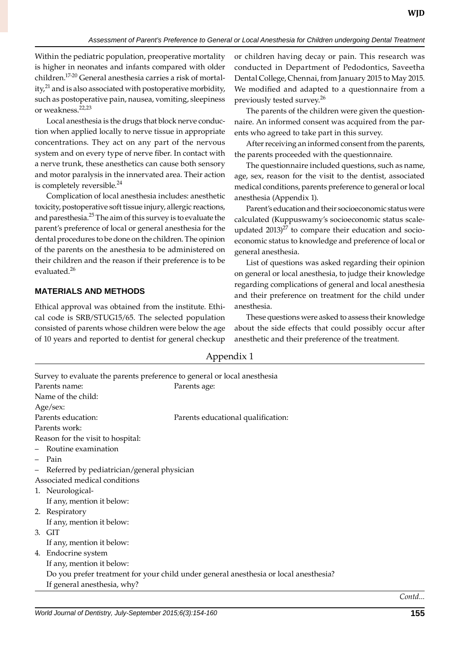Within the pediatric population, preoperative mortality is higher in neonates and infants compared with older children.17-20 General anesthesia carries a risk of mortality, $^{21}$  and is also associated with postoperative morbidity, such as postoperative pain, nausea, vomiting, sleepiness or weakness.22,23

Local anesthesia is the drugs that block nerve conduction when applied locally to nerve tissue in appropriate concentrations. They act on any part of the nervous system and on every type of nerve fiber. In contact with a nerve trunk, these anesthetics can cause both sensory and motor paralysis in the innervated area. Their action is completely reversible.<sup>24</sup>

Complication of local anesthesia includes: anesthetic toxicity, postoperative soft tissue injury, allergic reactions, and paresthesia.<sup>25</sup> The aim of this survey is to evaluate the parent's preference of local or general anesthesia for the dental procedures to be done on the children. The opinion of the parents on the anesthesia to be administered on their children and the reason if their preference is to be evaluated.<sup>26</sup>

## **MATERIALS AND METHODS**

Ethical approval was obtained from the institute. Ethical code is SRB/STUG15/65. The selected population consisted of parents whose children were below the age of 10 years and reported to dentist for general checkup or children having decay or pain. This research was conducted in Department of Pedodontics, Saveetha Dental College, Chennai, from January 2015 to may 2015. We modified and adapted to a questionnaire from a previously tested survey.<sup>26</sup>

The parents of the children were given the questionnaire. An informed consent was acquired from the parents who agreed to take part in this survey.

After receiving an informed consent from the parents, the parents proceeded with the questionnaire.

The questionnaire included questions, such as name, age, sex, reason for the visit to the dentist, associated medical conditions, parents preference to general or local anesthesia (Appendix 1).

Parent's education and their socioeconomic status were calculated (kuppuswamy's socioeconomic status scaleupdated  $2013)^{27}$  to compare their education and socioeconomic status to knowledge and preference of local or general anesthesia.

List of questions was asked regarding their opinion on general or local anesthesia, to judge their knowledge regarding complications of general and local anesthesia and their preference on treatment for the child under anesthesia.

These questions were asked to assess their knowledge about the side effects that could possibly occur after anesthetic and their preference of the treatment.

|                                                                          |                                            | 1 T                                                                                  |  |
|--------------------------------------------------------------------------|--------------------------------------------|--------------------------------------------------------------------------------------|--|
| Survey to evaluate the parents preference to general or local anesthesia |                                            |                                                                                      |  |
|                                                                          | Parents name:                              | Parents age:                                                                         |  |
| Name of the child:                                                       |                                            |                                                                                      |  |
| Age/sex:                                                                 |                                            |                                                                                      |  |
| Parents education:                                                       |                                            | Parents educational qualification:                                                   |  |
| Parents work:                                                            |                                            |                                                                                      |  |
| Reason for the visit to hospital:                                        |                                            |                                                                                      |  |
|                                                                          | Routine examination                        |                                                                                      |  |
|                                                                          | Pain                                       |                                                                                      |  |
| -                                                                        | Referred by pediatrician/general physician |                                                                                      |  |
| Associated medical conditions                                            |                                            |                                                                                      |  |
|                                                                          | 1. Neurological-                           |                                                                                      |  |
|                                                                          | If any, mention it below:                  |                                                                                      |  |
|                                                                          | 2. Respiratory                             |                                                                                      |  |
|                                                                          | If any, mention it below:                  |                                                                                      |  |
|                                                                          | 3. GIT                                     |                                                                                      |  |
|                                                                          | If any, mention it below:                  |                                                                                      |  |
|                                                                          | 4. Endocrine system                        |                                                                                      |  |
|                                                                          | If any, mention it below:                  |                                                                                      |  |
|                                                                          |                                            | Do you prefer treatment for your child under general anesthesia or local anesthesia? |  |
|                                                                          | If general anesthesia, why?                |                                                                                      |  |
|                                                                          |                                            |                                                                                      |  |

Appendix 1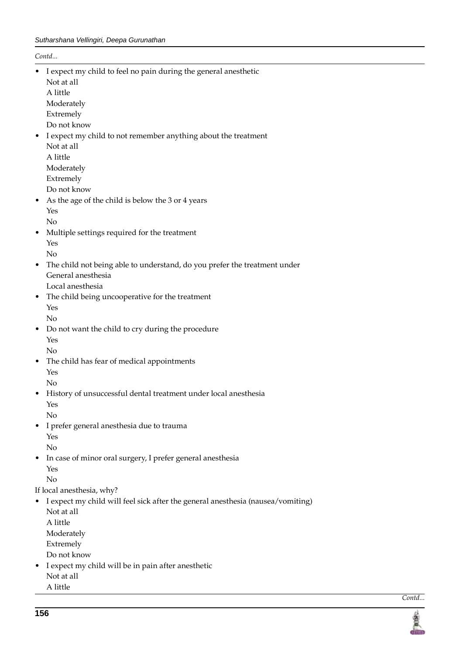*Contd...*

- I expect my child to feel no pain during the general anesthetic Not at all A little Moderately Extremely Do not know • I expect my child to not remember anything about the treatment Not at all A little Moderately Extremely Do not know As the age of the child is below the 3 or 4 years Yes No • Multiple settings required for the treatment Yes No • The child not being able to understand, do you prefer the treatment under General anesthesia Local anesthesia • The child being uncooperative for the treatment Yes No • Do not want the child to cry during the procedure Yes No • The child has fear of medical appointments Yes No • History of unsuccessful dental treatment under local anesthesia Yes No • I prefer general anesthesia due to trauma Yes No • In case of minor oral surgery, I prefer general anesthesia Yes No If local anesthesia, why? • I expect my child will feel sick after the general anesthesia (nausea/vomiting) Not at all A little Moderately Extremely
	- Do not know
- I expect my child will be in pain after anesthetic Not at all A little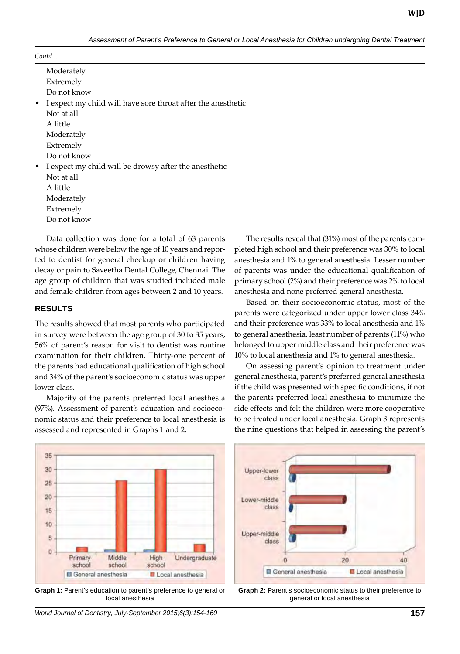| Moderately                                                     |
|----------------------------------------------------------------|
| Extremely                                                      |
| Do not know                                                    |
| • I expect my child will have sore throat after the anesthetic |
| Not at all                                                     |
| A little                                                       |
| Moderately                                                     |
| Extremely                                                      |
| Do not know                                                    |
| • I expect my child will be drowsy after the anesthetic        |
| Not at all                                                     |
| A little                                                       |
| Moderately                                                     |
| Extremely                                                      |
| Do not know                                                    |
|                                                                |

Data collection was done for a total of 63 parents whose children were below the age of 10 years and reported to dentist for general checkup or children having decay or pain to Saveetha Dental College, Chennai. The age group of children that was studied included male and female children from ages between 2 and 10 years.

#### **RESULTS**

The results showed that most parents who participated in survey were between the age group of 30 to 35 years, 56% of parent's reason for visit to dentist was routine examination for their children. Thirty-one percent of the parents had educational qualification of high school and 34% of the parent's socioeconomic status was upper lower class.

 Majority of the parents preferred local anesthesia (97%). Assessment of parent's education and socioeconomic status and their preference to local anesthesia is assessed and represented in Graphs 1 and 2.

The results reveal that (31%) most of the parents completed high school and their preference was 30% to local anesthesia and 1% to general anesthesia. Lesser number of parents was under the educational qualification of primary school (2%) and their preference was 2% to local anesthesia and none preferred general anesthesia.

Based on their socioeconomic status, most of the parents were categorized under upper lower class 34% and their preference was 33% to local anesthesia and 1% to general anesthesia, least number of parents (11%) who belonged to upper middle class and their preference was 10% to local anesthesia and 1% to general anesthesia.

On assessing parent's opinion to treatment under general anesthesia, parent's preferred general anesthesia if the child was presented with specific conditions, if not the parents preferred local anesthesia to minimize the side effects and felt the children were more cooperative to be treated under local anesthesia. Graph 3 represents the nine questions that helped in assessing the parent's



**Graph 1:** Parent's education to parent's preference to general or local anesthesia





*World Journal of Dentistry, July-September 2015;6(3):154-160* **157**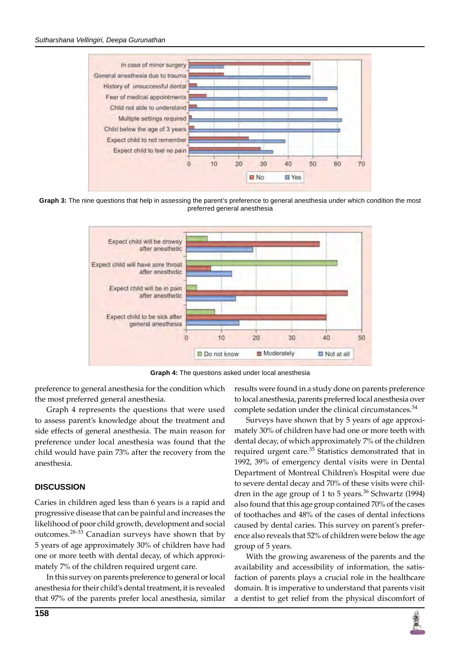

**Graph 3:** The nine questions that help in assessing the parent's preference to general anesthesia under which condition the most preferred general anesthesia



Graph 4: The questions asked under local anesthesia

preference to general anesthesia for the condition which the most preferred general anesthesia.

Graph 4 represents the questions that were used to assess parent's knowledge about the treatment and side effects of general anesthesia. The main reason for preference under local anesthesia was found that the child would have pain 73% after the recovery from the anesthesia.

### **DISCUSSION**

Caries in children aged less than 6 years is a rapid and progressive disease that can be painful and increases the likelihood of poor child growth, development and social outcomes.28-33 Canadian surveys have shown that by 5 years of age approximately 30% of children have had one or more teeth with dental decay, of which approximately 7% of the children required urgent care.

In this survey on parents preference to general or local anesthesia for their child's dental treatment, it is revealed that 97% of the parents prefer local anesthesia, similar

**158**

results were found in a study done on parents preference to local anesthesia, parents preferred local anesthesia over complete sedation under the clinical circumstances.<sup>34</sup>

Surveys have shown that by 5 years of age approximately 30% of children have had one or more teeth with dental decay, of which approximately 7% of the children required urgent care.<sup>35</sup> Statistics demonstrated that in 1992, 39% of emergency dental visits were in Dental Department of Montreal Children's Hospital were due to severe dental decay and 70% of these visits were children in the age group of 1 to 5 years.<sup>36</sup> Schwartz (1994) also found that this age group contained 70% of the cases of toothaches and 48% of the cases of dental infections caused by dental caries. This survey on parent's preference also reveals that 52% of children were below the age group of 5 years.

With the growing awareness of the parents and the availability and accessibility of information, the satisfaction of parents plays a crucial role in the healthcare domain. It is imperative to understand that parents visit a dentist to get relief from the physical discomfort of

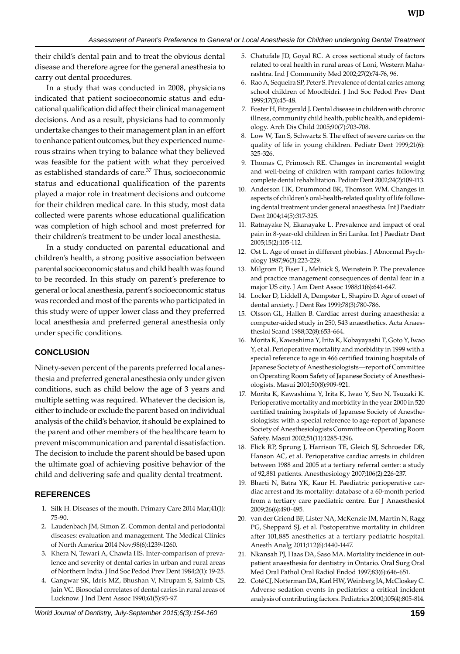their child's dental pain and to treat the obvious dental disease and therefore agree for the general anesthesia to carry out dental procedures.

In a study that was conducted in 2008, physicians indicated that patient socioeconomic status and educational qualification did affect their clinical management decisions. And as a result, physicians had to commonly undertake changes to their management plan in an effort to enhance patient outcomes, but they experienced numerous strains when trying to balance what they believed was feasible for the patient with what they perceived as established standards of care.<sup>37</sup> Thus, socioeconomic status and educational qualification of the parents played a major role in treatment decisions and outcome for their children medical care. In this study, most data collected were parents whose educational qualification was completion of high school and most preferred for their children's treatment to be under local anesthesia.

In a study conducted on parental educational and children's health, a strong positive association between parental socioeconomic status and child health was found to be recorded. In this study on parent's preference to general or local anesthesia, parent's socioeconomic status was recorded and most of the parents who participated in this study were of upper lower class and they preferred local anesthesia and preferred general anesthesia only under specific conditions.

## **CONCLUSION**

Ninety-seven percent of the parents preferred local anesthesia and preferred general anesthesia only under given conditions, such as child below the age of 3 years and multiple setting was required. Whatever the decision is, either to include or exclude the parent based on individual analysis of the child's behavior, it should be explained to the parent and other members of the healthcare team to prevent miscommunication and parental dissatisfaction. The decision to include the parent should be based upon the ultimate goal of achieving positive behavior of the child and delivering safe and quality dental treatment.

## **references**

- 1. Silk H. Diseases of the mouth. Primary Care 2014 Mar;41(1): 75-90.
- 2. Laudenbach JM, Simon Z. Common dental and periodontal diseases: evaluation and management. The Medical Clinics of North America 2014 Nov;98(6):1239-1260.
- 3. Khera N, Tewari A, Chawla HS. Inter-comparison of prevalence and severity of dental caries in urban and rural areas of Northern India. J Ind Soc Pedod Prev Dent 1984;2(1): 19-25.
- 4. Gangwar SK, Idris MZ, Bhushan V, Nirupam S, Saimb CS, Jain VC. Biosocial correlates of dental caries in rural areas of Lucknow. J Ind Dent Assoc 1990;61(5):93-97.
- 5. Chatufale JD, Goyal RC. A cross sectional study of factors related to oral health in rural areas of Loni, Western Maharashtra. Ind J Community Med 2002;27(2):74-76, 96.
- Rao A, Sequeira SP, Peter S. Prevalence of dental caries among school children of Moodbidri. J Ind Soc Pedod Prev Dent 1999;17(3):45-48.
- 7. Foster H, Fitzgerald J. Dental disease in children with chronic illness, community child health, public health, and epidemiology. Arch Dis Child 2005;90(7):703-708.
- 8. Low W, Tan S, Schwartz S. The effect of severe caries on the quality of life in young children. Pediatr Dent 1999;21(6): 325-326.
- 9. Thomas C, Primosch RE. Changes in incremental weight and well-being of children with rampant caries following complete dental rehabilitation. Pediatr Dent 2002;24(2):109-113.
- 10. Anderson HK, Drummond BK, Thomson WM. Changes in aspects of children's oral-health-related quality of life following dental treatment under general anaesthesia. Int J Paediatr Dent 2004;14(5):317-325.
- 11. Ratnayake N, Ekanayake L. Prevalence and impact of oral pain in 8-year-old children in Sri Lanka. Int J Paediatr Dent 2005;15(2):105-112.
- 12. Ost L. Age of onset in different phobias. J Abnormal Psychology 1987;96(3):223-229.
- 13. Milgrom P, Fiser L, Melnick S, Weinstein P. The prevalence and practice management consequences of dental fear in a major US city. J Am Dent Assoc 1988;11(6):641-647.
- 14. Locker D, Liddell A, Dempster L, Shapiro D. Age of onset of dental anxiety. J Dent Res 1999;78(3):780-786.
- 15. Olsson GL, Hallen B. Cardiac arrest during anaesthesia: a computer-aided study in 250, 543 anaesthetics. Acta Anaesthesiol Scand 1988;32(8):653-664.
- 16. Morita K, Kawashima Y, Irita K, Kobayayashi T, Goto Y, Iwao Y, et al. Perioperative mortality and morbidity in 1999 with a special reference to age in 466 certified training hospitals of Japanese Society of Anesthesiologists—report of Committee on Operating Room Safety of Japanese Society of Anesthesiologists. Masui 2001;50(8):909-921.
- 17. Morita K, Kawashima Y, Irita K, Iwao Y, Seo N, Tsuzaki K. Perioperative mortality and morbidity in the year 2000 in 520 certified training hospitals of Japanese Society of Anesthesiologists: with a special reference to age-report of Japanese Society of Anesthesiologists Committee on Operating Room Safety. Masui 2002;51(11):1285-1296.
- Flick RP, Sprung J, Harrison TE, Gleich SJ, Schroeder DR, Hanson AC, et al. Perioperative cardiac arrests in children between 1988 and 2005 at a tertiary referral center: a study of 92,881 patients. Anesthesiology 2007;106(2):226-237.
- 19. Bharti N, Batra YK, Kaur H. Paediatric perioperative cardiac arrest and its mortality: database of a 60-month period from a tertiary care paediatric centre. Eur J Anaesthesiol 2009;26(6):490-495.
- 20. van der Griend BF, Lister NA, McKenzie IM, Martin N, Ragg PG, Sheppard SJ, et al. Postoperative mortality in children after 101,885 anesthetics at a tertiary pediatric hospital. Anesth Analg 2011;112(6):1440-1447.
- 21. Nkansah PJ, Haas DA, Saso MA. Mortality incidence in outpatient anaesthesia for dentistry in Ontario. Oral Surg Oral Med Oral Pathol Oral Radiol Endod 1997;83(6):646-651.
- 22. Coté CJ, Notterman DA, Karl HW, Weinberg JA, McCloskey C. Adverse sedation events in pediatrics: a critical incident analysis of contributing factors. Pediatrics 2000;105(4):805-814.